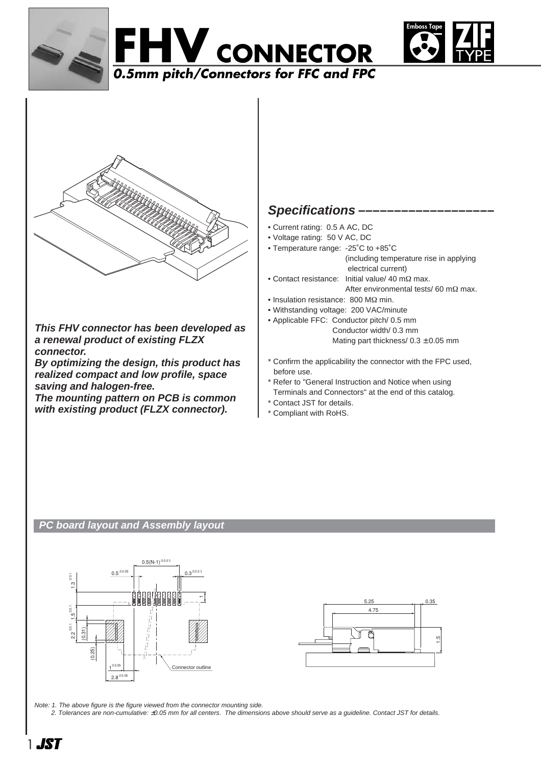







**This FHV connector has been developed as a renewal product of existing FLZX connector.**

**By optimizing the design, this product has realized compact and low profile, space saving and halogen-free.**

**The mounting pattern on PCB is common with existing product (FLZX connector).**

# **Specifications –––––––––––––––––––**

- Current rating: 0.5 A AC, DC
- Voltage rating: 50 V AC, DC
- Temperature range: -25˚C to +85˚C (including temperature rise in applying electrical current)
- Contact resistance: Initial value/ 40 mΩ max. After environmental tests/ 60 mΩ max.
- Insulation resistance: 800 MΩ min.
- Withstanding voltage: 200 VAC/minute
- Applicable FFC: Conductor pitch/ 0.5 mm Conductor width/ 0.3 mm Mating part thickness/ $0.3 \pm 0.05$  mm
- \* Confirm the applicability the connector with the FPC used, before use.
- \* Refer to "General Instruction and Notice when using Terminals and Connectors" at the end of this catalog.
- \* Contact JST for details.
- \* Compliant with RoHS.

### **PC board layout and Assembly layout**





Note: 1. The above figure is the figure viewed from the connector mounting side.

2. Tolerances are non-cumulative: ±0.05 mm for all centers. The dimensions above should serve as a guideline. Contact JST for details.